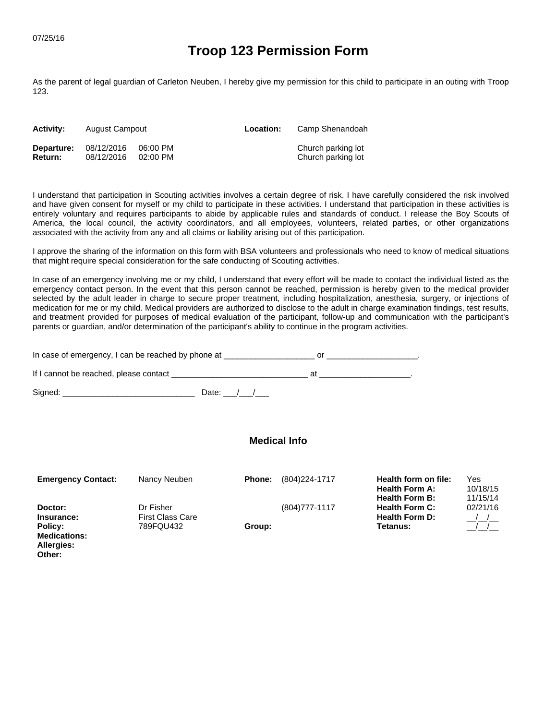**Allergies: Other:**

## **Troop 123 Permission Form**

As the parent of legal guardian of Carleton Neuben, I hereby give my permission for this child to participate in an outing with Troop 123.

| <b>Activity:</b> | August Campout |            | Location: | Camp Shenandoah    |
|------------------|----------------|------------|-----------|--------------------|
| Departure:       | 08/12/2016     | 06:00 PM   |           | Church parking lot |
| <b>Return:</b>   | 08/12/2016     | $02:00$ PM |           | Church parking lot |

I understand that participation in Scouting activities involves a certain degree of risk. I have carefully considered the risk involved and have given consent for myself or my child to participate in these activities. I understand that participation in these activities is entirely voluntary and requires participants to abide by applicable rules and standards of conduct. I release the Boy Scouts of America, the local council, the activity coordinators, and all employees, volunteers, related parties, or other organizations associated with the activity from any and all claims or liability arising out of this participation.

I approve the sharing of the information on this form with BSA volunteers and professionals who need to know of medical situations that might require special consideration for the safe conducting of Scouting activities.

In case of an emergency involving me or my child, I understand that every effort will be made to contact the individual listed as the emergency contact person. In the event that this person cannot be reached, permission is hereby given to the medical provider selected by the adult leader in charge to secure proper treatment, including hospitalization, anesthesia, surgery, or injections of medication for me or my child. Medical providers are authorized to disclose to the adult in charge examination findings, test results, and treatment provided for purposes of medical evaluation of the participant, follow-up and communication with the participant's parents or guardian, and/or determination of the participant's ability to continue in the program activities.

| In case of emergency, I can be reached by phone at |  |
|----------------------------------------------------|--|
| If I cannot be reached, please contact             |  |

Signed: \_\_\_\_\_\_\_\_\_\_\_\_\_\_\_\_\_\_\_\_\_\_\_\_\_\_\_\_\_ Date: \_\_\_/\_\_\_/\_\_\_

| <b>Emergency Contact:</b>      | Nancy Neuben            | <b>Phone:</b> | (804) 224-1717    | Health form on file:<br><b>Health Form A:</b><br><b>Health Form B:</b> | Yes<br>10/18/15<br>11/15/14 |
|--------------------------------|-------------------------|---------------|-------------------|------------------------------------------------------------------------|-----------------------------|
| Doctor:                        | Dr Fisher               |               | $(804)777 - 1117$ | <b>Health Form C:</b>                                                  | 02/21/16                    |
| Insurance:                     | <b>First Class Care</b> |               |                   | <b>Health Form D:</b>                                                  | $\frac{1}{2}$               |
| Policy:<br><b>Medications:</b> | 789FQU432               | Group:        |                   | Tetanus:                                                               |                             |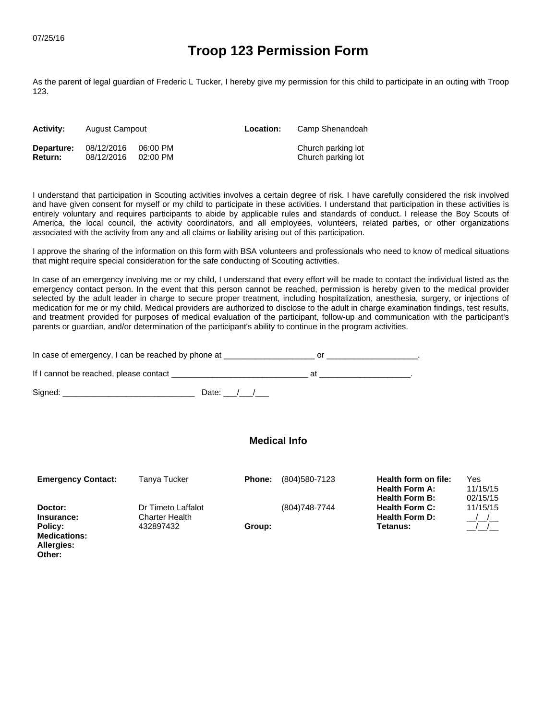**Allergies: Other:**

## **Troop 123 Permission Form**

As the parent of legal guardian of Frederic L Tucker, I hereby give my permission for this child to participate in an outing with Troop 123.

| <b>Activity:</b> | August Campout |            | Location: | Camp Shenandoah    |
|------------------|----------------|------------|-----------|--------------------|
| Departure:       | 08/12/2016     | 06:00 PM   |           | Church parking lot |
| <b>Return:</b>   | 08/12/2016     | $02:00$ PM |           | Church parking lot |

I understand that participation in Scouting activities involves a certain degree of risk. I have carefully considered the risk involved and have given consent for myself or my child to participate in these activities. I understand that participation in these activities is entirely voluntary and requires participants to abide by applicable rules and standards of conduct. I release the Boy Scouts of America, the local council, the activity coordinators, and all employees, volunteers, related parties, or other organizations associated with the activity from any and all claims or liability arising out of this participation.

I approve the sharing of the information on this form with BSA volunteers and professionals who need to know of medical situations that might require special consideration for the safe conducting of Scouting activities.

In case of an emergency involving me or my child, I understand that every effort will be made to contact the individual listed as the emergency contact person. In the event that this person cannot be reached, permission is hereby given to the medical provider selected by the adult leader in charge to secure proper treatment, including hospitalization, anesthesia, surgery, or injections of medication for me or my child. Medical providers are authorized to disclose to the adult in charge examination findings, test results, and treatment provided for purposes of medical evaluation of the participant, follow-up and communication with the participant's parents or guardian, and/or determination of the participant's ability to continue in the program activities.

| In case of emergency, I can be reached by phone at |  |
|----------------------------------------------------|--|
| If I cannot be reached, please contact             |  |

Signed: \_\_\_\_\_\_\_\_\_\_\_\_\_\_\_\_\_\_\_\_\_\_\_\_\_\_\_\_\_ Date: \_\_\_/\_\_\_/\_\_\_

| <b>Emergency Contact:</b>      | Tanya Tucker                                | <b>Phone:</b> | (804)580-7123  | Health form on file:<br><b>Health Form A:</b><br><b>Health Form B:</b> | Yes<br>11/15/15<br>02/15/15 |
|--------------------------------|---------------------------------------------|---------------|----------------|------------------------------------------------------------------------|-----------------------------|
| Doctor:<br>Insurance:          | Dr Timeto Laffalot<br><b>Charter Health</b> |               | (804) 748-7744 | <b>Health Form C:</b><br><b>Health Form D:</b>                         | 11/15/15<br>$\sqrt{1}$      |
| Policy:<br><b>Medications:</b> | 432897432                                   | Group:        |                | Tetanus:                                                               |                             |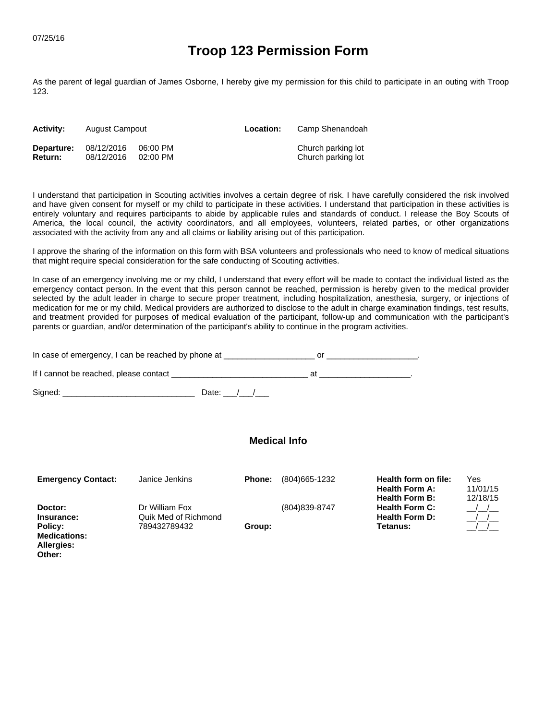**Other:**

## **Troop 123 Permission Form**

As the parent of legal guardian of James Osborne, I hereby give my permission for this child to participate in an outing with Troop 123.

| <b>Activity:</b> | August Campout |            | Location: | Camp Shenandoah    |
|------------------|----------------|------------|-----------|--------------------|
| Departure:       | 08/12/2016     | 06:00 PM   |           | Church parking lot |
| <b>Return:</b>   | 08/12/2016     | $02:00$ PM |           | Church parking lot |

I understand that participation in Scouting activities involves a certain degree of risk. I have carefully considered the risk involved and have given consent for myself or my child to participate in these activities. I understand that participation in these activities is entirely voluntary and requires participants to abide by applicable rules and standards of conduct. I release the Boy Scouts of America, the local council, the activity coordinators, and all employees, volunteers, related parties, or other organizations associated with the activity from any and all claims or liability arising out of this participation.

I approve the sharing of the information on this form with BSA volunteers and professionals who need to know of medical situations that might require special consideration for the safe conducting of Scouting activities.

In case of an emergency involving me or my child, I understand that every effort will be made to contact the individual listed as the emergency contact person. In the event that this person cannot be reached, permission is hereby given to the medical provider selected by the adult leader in charge to secure proper treatment, including hospitalization, anesthesia, surgery, or injections of medication for me or my child. Medical providers are authorized to disclose to the adult in charge examination findings, test results, and treatment provided for purposes of medical evaluation of the participant, follow-up and communication with the participant's parents or guardian, and/or determination of the participant's ability to continue in the program activities.

| In case of emergency, I can be reached by phone at |  |
|----------------------------------------------------|--|
| If I cannot be reached, please contact             |  |

Signed: \_\_\_\_\_\_\_\_\_\_\_\_\_\_\_\_\_\_\_\_\_\_\_\_\_\_\_\_\_ Date: \_\_\_/\_\_\_/\_\_\_

| <b>Emergency Contact:</b> | Janice Jenkins       | <b>Phone:</b> | (804) 665 - 1232 | Health form on file:<br><b>Health Form A:</b><br><b>Health Form B:</b> | Yes<br>11/01/15<br>12/18/15 |
|---------------------------|----------------------|---------------|------------------|------------------------------------------------------------------------|-----------------------------|
| Doctor:                   | Dr William Fox       |               | (804) 839-8747   | <b>Health Form C:</b>                                                  |                             |
| Insurance:                | Quik Med of Richmond |               |                  | <b>Health Form D:</b>                                                  |                             |
| Policy:                   | 789432789432         | Group:        |                  | Tetanus:                                                               |                             |
| <b>Medications:</b>       |                      |               |                  |                                                                        |                             |
| Allergies:                |                      |               |                  |                                                                        |                             |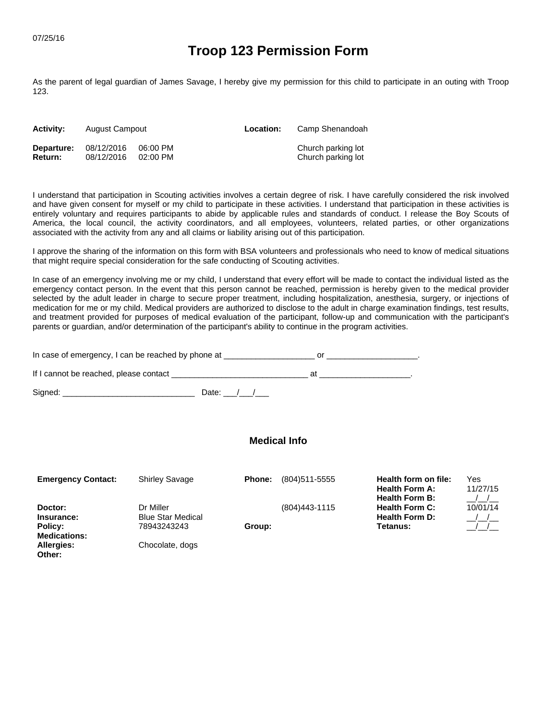## **Troop 123 Permission Form**

As the parent of legal guardian of James Savage, I hereby give my permission for this child to participate in an outing with Troop 123.

| <b>Activity:</b> | August Campout |            | Location: | Camp Shenandoah    |
|------------------|----------------|------------|-----------|--------------------|
| Departure:       | 08/12/2016     | 06:00 PM   |           | Church parking lot |
| <b>Return:</b>   | 08/12/2016     | $02:00$ PM |           | Church parking lot |

I understand that participation in Scouting activities involves a certain degree of risk. I have carefully considered the risk involved and have given consent for myself or my child to participate in these activities. I understand that participation in these activities is entirely voluntary and requires participants to abide by applicable rules and standards of conduct. I release the Boy Scouts of America, the local council, the activity coordinators, and all employees, volunteers, related parties, or other organizations associated with the activity from any and all claims or liability arising out of this participation.

I approve the sharing of the information on this form with BSA volunteers and professionals who need to know of medical situations that might require special consideration for the safe conducting of Scouting activities.

In case of an emergency involving me or my child, I understand that every effort will be made to contact the individual listed as the emergency contact person. In the event that this person cannot be reached, permission is hereby given to the medical provider selected by the adult leader in charge to secure proper treatment, including hospitalization, anesthesia, surgery, or injections of medication for me or my child. Medical providers are authorized to disclose to the adult in charge examination findings, test results, and treatment provided for purposes of medical evaluation of the participant, follow-up and communication with the participant's parents or guardian, and/or determination of the participant's ability to continue in the program activities.

| In case of emergency, I can be reached by phone at |  |
|----------------------------------------------------|--|
| If I cannot be reached, please contact             |  |

Signed: \_\_\_\_\_\_\_\_\_\_\_\_\_\_\_\_\_\_\_\_\_\_\_\_\_\_\_\_\_ Date: \_\_\_/\_\_\_/\_\_\_

| <b>Emergency Contact:</b> | <b>Shirley Savage</b>    | <b>Phone:</b> | (804) 511-5555   | Health form on file:<br><b>Health Form A:</b><br><b>Health Form B:</b> | Yes<br>11/27/15 |
|---------------------------|--------------------------|---------------|------------------|------------------------------------------------------------------------|-----------------|
| Doctor:                   | Dr Miller                |               | (804) 443 - 1115 | <b>Health Form C:</b>                                                  | 10/01/14        |
| Insurance:                | <b>Blue Star Medical</b> |               |                  | <b>Health Form D:</b>                                                  | $\sqrt{1}$      |
| Policy:                   | 78943243243              | Group:        |                  | Tetanus:                                                               | $\frac{1}{2}$   |
| <b>Medications:</b>       |                          |               |                  |                                                                        |                 |
| Allergies:                | Chocolate, dogs          |               |                  |                                                                        |                 |
| Other:                    |                          |               |                  |                                                                        |                 |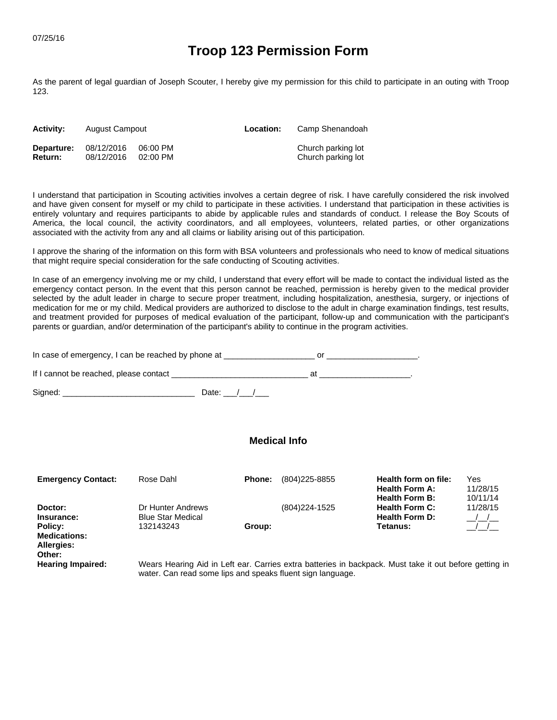# **Troop 123 Permission Form**

As the parent of legal guardian of Joseph Scouter, I hereby give my permission for this child to participate in an outing with Troop 123.

| <b>Activity:</b> | August Campout |            | Location: | Camp Shenandoah    |
|------------------|----------------|------------|-----------|--------------------|
| Departure:       | 08/12/2016     | 06:00 PM   |           | Church parking lot |
| <b>Return:</b>   | 08/12/2016     | $02:00$ PM |           | Church parking lot |

I understand that participation in Scouting activities involves a certain degree of risk. I have carefully considered the risk involved and have given consent for myself or my child to participate in these activities. I understand that participation in these activities is entirely voluntary and requires participants to abide by applicable rules and standards of conduct. I release the Boy Scouts of America, the local council, the activity coordinators, and all employees, volunteers, related parties, or other organizations associated with the activity from any and all claims or liability arising out of this participation.

I approve the sharing of the information on this form with BSA volunteers and professionals who need to know of medical situations that might require special consideration for the safe conducting of Scouting activities.

In case of an emergency involving me or my child, I understand that every effort will be made to contact the individual listed as the emergency contact person. In the event that this person cannot be reached, permission is hereby given to the medical provider selected by the adult leader in charge to secure proper treatment, including hospitalization, anesthesia, surgery, or injections of medication for me or my child. Medical providers are authorized to disclose to the adult in charge examination findings, test results, and treatment provided for purposes of medical evaluation of the participant, follow-up and communication with the participant's parents or guardian, and/or determination of the participant's ability to continue in the program activities.

| In case of emergency, I can be reached by phone at |  |
|----------------------------------------------------|--|
| If I cannot be reached, please contact             |  |

Signed: \_\_\_\_\_\_\_\_\_\_\_\_\_\_\_\_\_\_\_\_\_\_\_\_\_\_\_\_\_ Date: \_\_\_/\_\_\_/\_\_\_

#### **Medical Info**

| <b>Emergency Contact:</b>                                                       | Rose Dahl                                                  | <b>Phone:</b> | (804) 225-8855 | Health form on file:<br><b>Health Form A:</b><br><b>Health Form B:</b> | Yes<br>11/28/15<br>10/11/14 |
|---------------------------------------------------------------------------------|------------------------------------------------------------|---------------|----------------|------------------------------------------------------------------------|-----------------------------|
| Doctor:<br>Insurance:<br>Policy:<br><b>Medications:</b><br>Allergies:<br>Other: | Dr Hunter Andrews<br><b>Blue Star Medical</b><br>132143243 | Group:        | (804) 224-1525 | <b>Health Form C:</b><br><b>Health Form D:</b><br>Tetanus:             | 11/28/15                    |

 **Hearing Impaired:** Wears Hearing Aid in Left ear. Carries extra batteries in backpack. Must take it out before getting in water. Can read some lips and speaks fluent sign language.